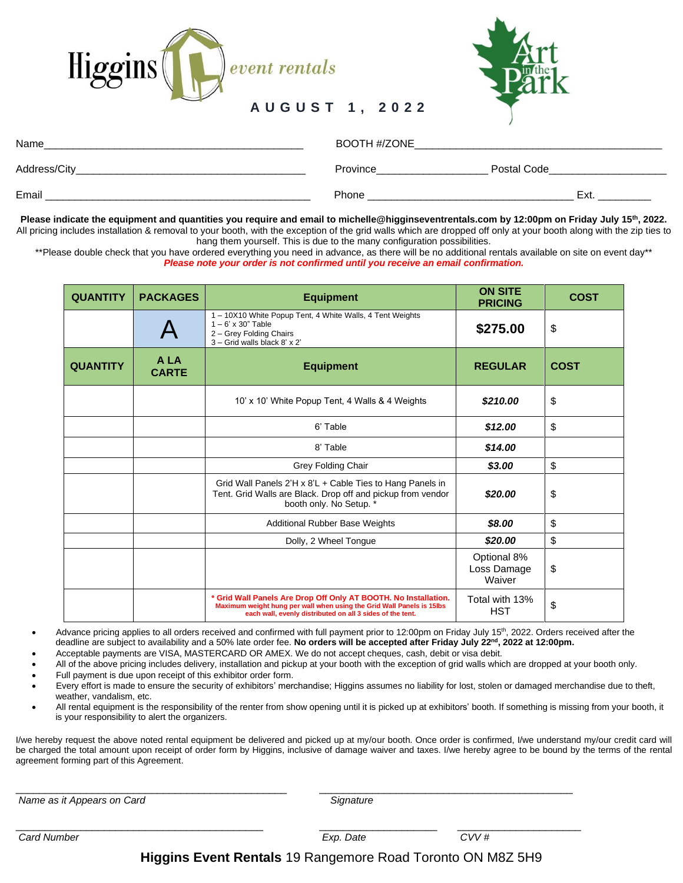



## **A U G U S T 1 , 2 0 2 2**

| Name          | BOOTH #/ZONE |             |  |
|---------------|--------------|-------------|--|
| Address/City_ | Province     | Postal Code |  |
| Email         | Phone        | Ext.        |  |

**Please indicate the equipment and quantities you require and email to michelle@higginseventrentals.com by 12:00pm on Friday July 15th , 2022.**  All pricing includes installation & removal to your booth, with the exception of the grid walls which are dropped off only at your booth along with the zip ties to hang them yourself. This is due to the many configuration possibilities.

\*\*Please double check that you have ordered everything you need in advance, as there will be no additional rentals available on site on event day\*\* *Please note your order is not confirmed until you receive an email confirmation.*

| <b>QUANTITY</b> | <b>PACKAGES</b>      | <b>Equipment</b>                                                                                                                                                                                      | <b>ON SITE</b><br><b>PRICING</b>     | <b>COST</b> |
|-----------------|----------------------|-------------------------------------------------------------------------------------------------------------------------------------------------------------------------------------------------------|--------------------------------------|-------------|
|                 |                      | 1 - 10X10 White Popup Tent, 4 White Walls, 4 Tent Weights<br>$1 - 6'$ x 30" Table<br>2 - Grey Folding Chairs<br>3 - Grid walls black 8' x 2'                                                          | \$275.00                             | \$          |
| <b>QUANTITY</b> | A LA<br><b>CARTE</b> | <b>Equipment</b>                                                                                                                                                                                      | <b>REGULAR</b>                       | <b>COST</b> |
|                 |                      | 10' x 10' White Popup Tent, 4 Walls & 4 Weights                                                                                                                                                       | \$210.00                             | \$          |
|                 |                      | 6' Table                                                                                                                                                                                              | \$12.00                              | \$          |
|                 |                      | 8' Table                                                                                                                                                                                              | \$14.00                              |             |
|                 |                      | Grey Folding Chair                                                                                                                                                                                    | \$3.00                               | \$          |
|                 |                      | Grid Wall Panels 2'H x 8'L + Cable Ties to Hang Panels in<br>Tent. Grid Walls are Black. Drop off and pickup from vendor<br>booth only. No Setup. *                                                   | \$20.00                              | \$          |
|                 |                      | Additional Rubber Base Weights                                                                                                                                                                        | \$8.00                               | \$          |
|                 |                      | Dolly, 2 Wheel Tongue                                                                                                                                                                                 | \$20.00                              | \$          |
|                 |                      |                                                                                                                                                                                                       | Optional 8%<br>Loss Damage<br>Waiver | \$          |
|                 |                      | * Grid Wall Panels Are Drop Off Only AT BOOTH. No Installation.<br>Maximum weight hung per wall when using the Grid Wall Panels is 15lbs<br>each wall, evenly distributed on all 3 sides of the tent. | Total with 13%<br><b>HST</b>         | \$          |

• Advance pricing applies to all orders received and confirmed with full payment prior to 12:00pm on Friday July 15<sup>th</sup>, 2022. Orders received after the ………..deadline are subject to availability and a 50% late order fee. **No orders will be accepted after Friday July 22nd, 2022 at 12:00pm.**

• Acceptable payments are VISA, MASTERCARD OR AMEX. We do not accept cheques, cash, debit or visa debit.

\_\_\_\_\_\_\_\_\_\_\_\_\_\_\_\_\_\_\_\_\_\_\_\_\_\_\_\_\_\_\_\_\_\_\_\_\_\_\_\_\_\_\_\_\_\_ \_\_\_\_\_\_\_\_\_\_\_\_\_\_\_\_\_\_\_\_\_\_\_\_\_\_\_\_\_\_\_\_\_\_\_\_\_\_\_\_\_\_\_

• All of the above pricing includes delivery, installation and pickup at your booth with the exception of grid walls which are dropped at your booth only.

- Full payment is due upon receipt of this exhibitor order form.
- Every effort is made to ensure the security of exhibitors' merchandise; Higgins assumes no liability for lost, stolen or damaged merchandise due to theft, weather, vandalism, etc.
- All rental equipment is the responsibility of the renter from show opening until it is picked up at exhibitors' booth. If something is missing from your booth, it is your responsibility to alert the organizers.

I/we hereby request the above noted rental equipment be delivered and picked up at my/our booth. Once order is confirmed, I/we understand my/our credit card will be charged the total amount upon receipt of order form by Higgins, inclusive of damage waiver and taxes. I/we hereby agree to be bound by the terms of the rental agreement forming part of this Agreement.

*Name as it Appears on Card Signature*

\_\_\_\_\_\_\_\_\_\_\_\_\_\_\_\_\_\_\_\_\_\_\_\_\_\_\_\_\_\_\_\_\_\_\_\_\_\_\_\_\_\_ \_\_\_\_\_\_\_\_\_\_\_\_\_\_\_\_\_\_\_\_ \_\_\_\_\_\_\_\_\_\_\_\_\_\_\_\_\_\_\_\_\_